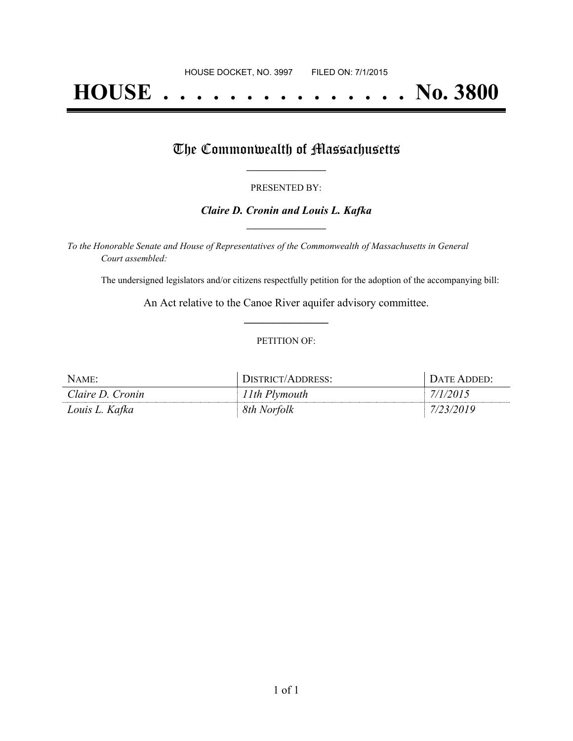# **HOUSE . . . . . . . . . . . . . . . No. 3800**

## The Commonwealth of Massachusetts

#### PRESENTED BY:

#### *Claire D. Cronin and Louis L. Kafka* **\_\_\_\_\_\_\_\_\_\_\_\_\_\_\_\_\_**

*To the Honorable Senate and House of Representatives of the Commonwealth of Massachusetts in General Court assembled:*

The undersigned legislators and/or citizens respectfully petition for the adoption of the accompanying bill:

An Act relative to the Canoe River aquifer advisory committee. **\_\_\_\_\_\_\_\_\_\_\_\_\_\_\_**

#### PETITION OF:

| NAME:            | DISTRICT/ADDRESS: | DATE ADDED: |
|------------------|-------------------|-------------|
| Claire D. Cronin | 11th Plymouth     | 7/1/2015    |
| Louis L. Kafka   | 8th Norfolk       | 7/23/2019   |